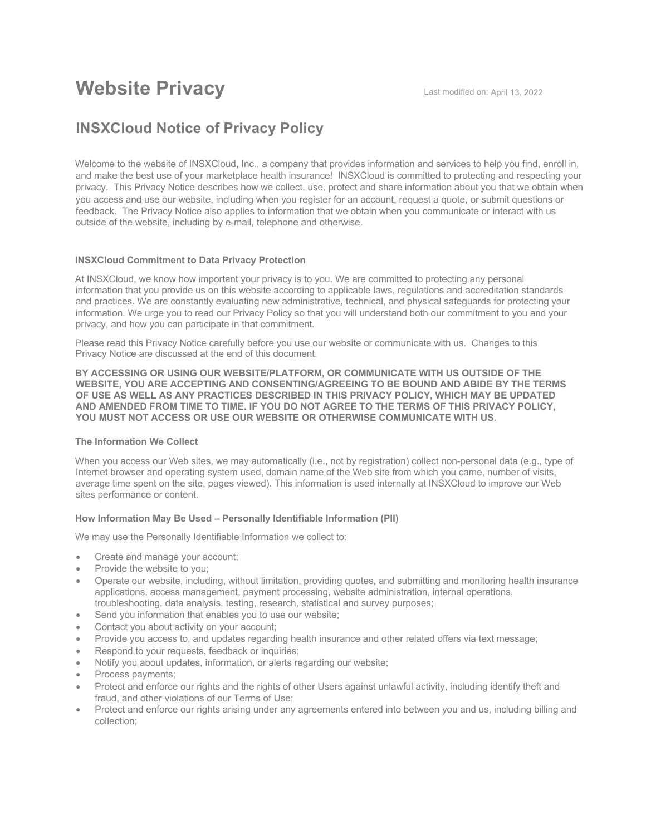# **Website Privacy Last modified on: April 13, 2022**

# **INSXCloud Notice of Privacy Policy**

Welcome to the website of INSXCloud, Inc., a company that provides information and services to help you find, enroll in, and make the best use of your marketplace health insurance! INSXCloud is committed to protecting and respecting your privacy. This Privacy Notice describes how we collect, use, protect and share information about you that we obtain when you access and use our website, including when you register for an account, request a quote, or submit questions or feedback. The Privacy Notice also applies to information that we obtain when you communicate or interact with us outside of the website, including by e-mail, telephone and otherwise.

# **INSXCloud Commitment to Data Privacy Protection**

At INSXCloud, we know how important your privacy is to you. We are committed to protecting any personal information that you provide us on this website according to applicable laws, regulations and accreditation standards and practices. We are constantly evaluating new administrative, technical, and physical safeguards for protecting your information. We urge you to read our Privacy Policy so that you will understand both our commitment to you and your privacy, and how you can participate in that commitment.

Please read this Privacy Notice carefully before you use our website or communicate with us. Changes to this Privacy Notice are discussed at the end of this document.

**BY ACCESSING OR USING OUR WEBSITE/PLATFORM, OR COMMUNICATE WITH US OUTSIDE OF THE WEBSITE, YOU ARE ACCEPTING AND CONSENTING/AGREEING TO BE BOUND AND ABIDE BY THE TERMS OF USE AS WELL AS ANY PRACTICES DESCRIBED IN THIS PRIVACY POLICY, WHICH MAY BE UPDATED AND AMENDED FROM TIME TO TIME. IF YOU DO NOT AGREE TO THE TERMS OF THIS PRIVACY POLICY, YOU MUST NOT ACCESS OR USE OUR WEBSITE OR OTHERWISE COMMUNICATE WITH US.** 

# **The Information We Collect**

When you access our Web sites, we may automatically (i.e., not by registration) collect non-personal data (e.g., type of Internet browser and operating system used, domain name of the Web site from which you came, number of visits, average time spent on the site, pages viewed). This information is used internally at INSXCloud to improve our Web sites performance or content.

#### **How Information May Be Used – Personally Identifiable Information (PII)**

We may use the Personally Identifiable Information we collect to:

- Create and manage your account;
- Provide the website to you;
- Operate our website, including, without limitation, providing quotes, and submitting and monitoring health insurance applications, access management, payment processing, website administration, internal operations, troubleshooting, data analysis, testing, research, statistical and survey purposes;
- Send you information that enables you to use our website;
- Contact you about activity on your account;
- Provide you access to, and updates regarding health insurance and other related offers via text message;
- Respond to your requests, feedback or inquiries;
- Notify you about updates, information, or alerts regarding our website;
- Process payments;
- Protect and enforce our rights and the rights of other Users against unlawful activity, including identify theft and fraud, and other violations of our Terms of Use;
- Protect and enforce our rights arising under any agreements entered into between you and us, including billing and collection;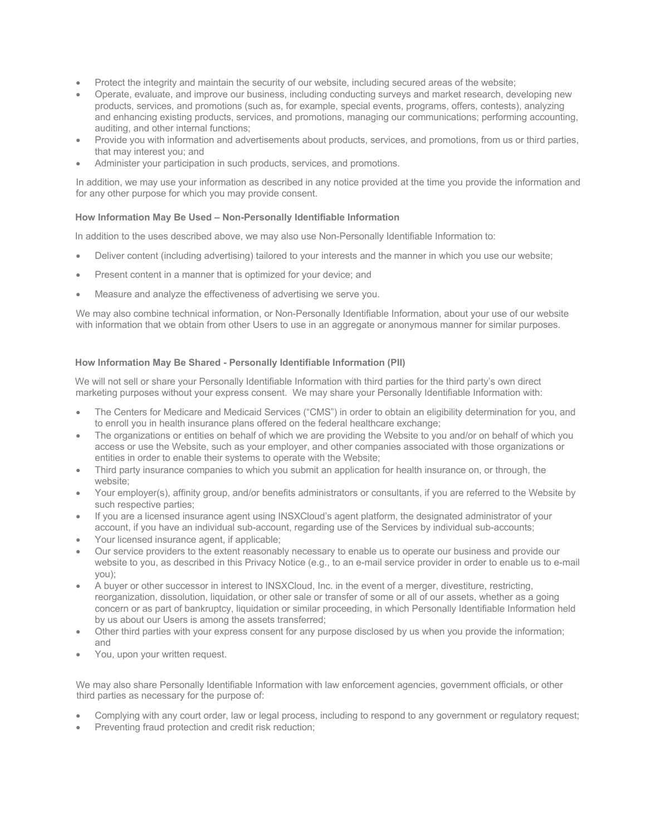- Protect the integrity and maintain the security of our website, including secured areas of the website;
- Operate, evaluate, and improve our business, including conducting surveys and market research, developing new products, services, and promotions (such as, for example, special events, programs, offers, contests), analyzing and enhancing existing products, services, and promotions, managing our communications; performing accounting, auditing, and other internal functions;
- Provide you with information and advertisements about products, services, and promotions, from us or third parties, that may interest you; and
- Administer your participation in such products, services, and promotions.

In addition, we may use your information as described in any notice provided at the time you provide the information and for any other purpose for which you may provide consent.

# **How Information May Be Used – Non-Personally Identifiable Information**

In addition to the uses described above, we may also use Non-Personally Identifiable Information to:

- Deliver content (including advertising) tailored to your interests and the manner in which you use our website;
- Present content in a manner that is optimized for your device; and
- Measure and analyze the effectiveness of advertising we serve you.

We may also combine technical information, or Non-Personally Identifiable Information, about your use of our website with information that we obtain from other Users to use in an aggregate or anonymous manner for similar purposes.

# **How Information May Be Shared - Personally Identifiable Information (PII)**

We will not sell or share your Personally Identifiable Information with third parties for the third party's own direct marketing purposes without your express consent. We may share your Personally Identifiable Information with:

- The Centers for Medicare and Medicaid Services ("CMS") in order to obtain an eligibility determination for you, and to enroll you in health insurance plans offered on the federal healthcare exchange;
- The organizations or entities on behalf of which we are providing the Website to you and/or on behalf of which you access or use the Website, such as your employer, and other companies associated with those organizations or entities in order to enable their systems to operate with the Website;
- Third party insurance companies to which you submit an application for health insurance on, or through, the website;
- Your employer(s), affinity group, and/or benefits administrators or consultants, if you are referred to the Website by such respective parties;
- If you are a licensed insurance agent using INSXCloud's agent platform, the designated administrator of your account, if you have an individual sub-account, regarding use of the Services by individual sub-accounts;
- Your licensed insurance agent, if applicable;
- Our service providers to the extent reasonably necessary to enable us to operate our business and provide our website to you, as described in this Privacy Notice (e.g., to an e-mail service provider in order to enable us to e-mail you);
- A buyer or other successor in interest to INSXCloud, Inc. in the event of a merger, divestiture, restricting, reorganization, dissolution, liquidation, or other sale or transfer of some or all of our assets, whether as a going concern or as part of bankruptcy, liquidation or similar proceeding, in which Personally Identifiable Information held by us about our Users is among the assets transferred;
- Other third parties with your express consent for any purpose disclosed by us when you provide the information; and
- You, upon your written request.

We may also share Personally Identifiable Information with law enforcement agencies, government officials, or other third parties as necessary for the purpose of:

- Complying with any court order, law or legal process, including to respond to any government or regulatory request;
- Preventing fraud protection and credit risk reduction: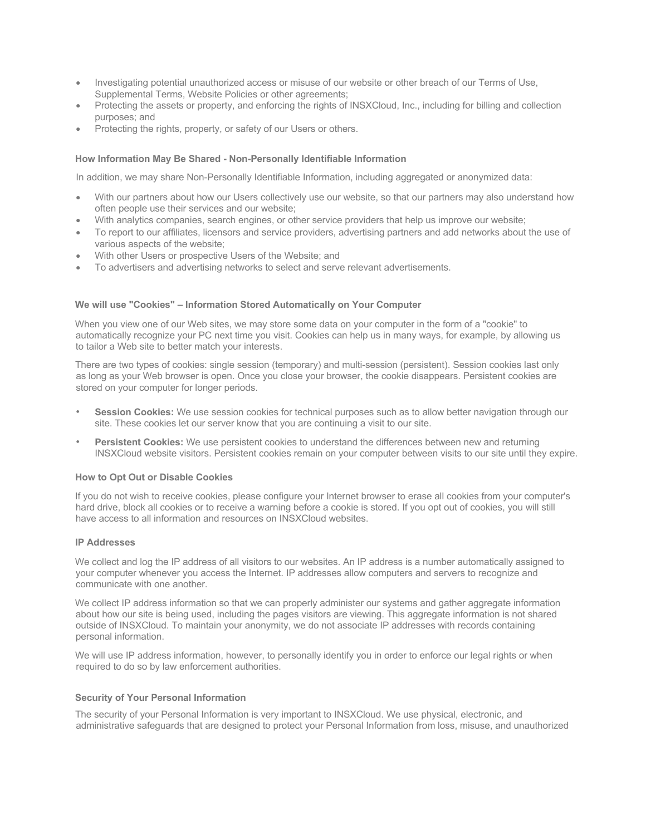- Investigating potential unauthorized access or misuse of our website or other breach of our Terms of Use, Supplemental Terms, Website Policies or other agreements;
- Protecting the assets or property, and enforcing the rights of INSXCloud, Inc., including for billing and collection purposes; and
- Protecting the rights, property, or safety of our Users or others.

# **How Information May Be Shared - Non-Personally Identifiable Information**

In addition, we may share Non-Personally Identifiable Information, including aggregated or anonymized data:

- With our partners about how our Users collectively use our website, so that our partners may also understand how often people use their services and our website;
- With analytics companies, search engines, or other service providers that help us improve our website;
- To report to our affiliates, licensors and service providers, advertising partners and add networks about the use of various aspects of the website;
- With other Users or prospective Users of the Website; and
- To advertisers and advertising networks to select and serve relevant advertisements.

#### **We will use "Cookies" – Information Stored Automatically on Your Computer**

When you view one of our Web sites, we may store some data on your computer in the form of a "cookie" to automatically recognize your PC next time you visit. Cookies can help us in many ways, for example, by allowing us to tailor a Web site to better match your interests.

There are two types of cookies: single session (temporary) and multi-session (persistent). Session cookies last only as long as your Web browser is open. Once you close your browser, the cookie disappears. Persistent cookies are stored on your computer for longer periods.

- **Session Cookies:** We use session cookies for technical purposes such as to allow better navigation through our site. These cookies let our server know that you are continuing a visit to our site.
- **Persistent Cookies:** We use persistent cookies to understand the differences between new and returning INSXCloud website visitors. Persistent cookies remain on your computer between visits to our site until they expire.

### **How to Opt Out or Disable Cookies**

If you do not wish to receive cookies, please configure your Internet browser to erase all cookies from your computer's hard drive, block all cookies or to receive a warning before a cookie is stored. If you opt out of cookies, you will still have access to all information and resources on INSXCloud websites.

# **IP Addresses**

We collect and log the IP address of all visitors to our websites. An IP address is a number automatically assigned to your computer whenever you access the Internet. IP addresses allow computers and servers to recognize and communicate with one another.

We collect IP address information so that we can properly administer our systems and gather aggregate information about how our site is being used, including the pages visitors are viewing. This aggregate information is not shared outside of INSXCloud. To maintain your anonymity, we do not associate IP addresses with records containing personal information.

We will use IP address information, however, to personally identify you in order to enforce our legal rights or when required to do so by law enforcement authorities.

# **Security of Your Personal Information**

The security of your Personal Information is very important to INSXCloud. We use physical, electronic, and administrative safeguards that are designed to protect your Personal Information from loss, misuse, and unauthorized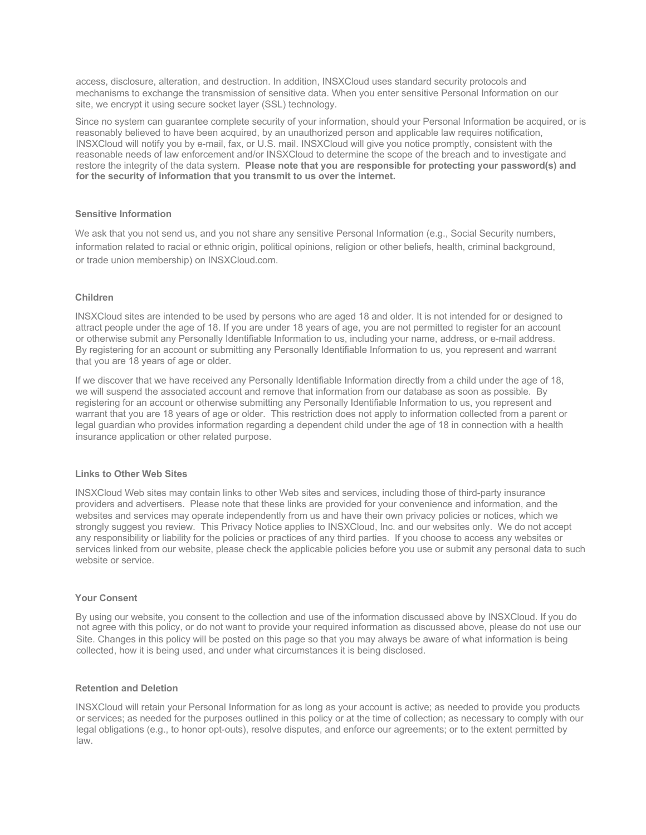access, disclosure, alteration, and destruction. In addition, INSXCloud uses standard security protocols and mechanisms to exchange the transmission of sensitive data. When you enter sensitive Personal Information on our site, we encrypt it using secure socket layer (SSL) technology.

Since no system can guarantee complete security of your information, should your Personal Information be acquired, or is reasonably believed to have been acquired, by an unauthorized person and applicable law requires notification, INSXCloud will notify you by e-mail, fax, or U.S. mail. INSXCloud will give you notice promptly, consistent with the reasonable needs of law enforcement and/or INSXCloud to determine the scope of the breach and to investigate and restore the integrity of the data system. **Please note that you are responsible for protecting your password(s) and for the security of information that you transmit to us over the internet.**

#### **Sensitive Information**

We ask that you not send us, and you not share any sensitive Personal Information (e.g., Social Security numbers, information related to racial or ethnic origin, political opinions, religion or other beliefs, health, criminal background, or trade union membership) on INSXCloud.com.

# **Children**

INSXCloud sites are intended to be used by persons who are aged 18 and older. It is not intended for or designed to attract people under the age of 18. If you are under 18 years of age, you are not permitted to register for an account or otherwise submit any Personally Identifiable Information to us, including your name, address, or e-mail address. By registering for an account or submitting any Personally Identifiable Information to us, you represent and warrant that you are 18 years of age or older.

If we discover that we have received any Personally Identifiable Information directly from a child under the age of 18, we will suspend the associated account and remove that information from our database as soon as possible. By registering for an account or otherwise submitting any Personally Identifiable Information to us, you represent and warrant that you are 18 years of age or older. This restriction does not apply to information collected from a parent or legal guardian who provides information regarding a dependent child under the age of 18 in connection with a health insurance application or other related purpose.

#### **Links to Other Web Sites**

INSXCloud Web sites may contain links to other Web sites and services, including those of third-party insurance providers and advertisers. Please note that these links are provided for your convenience and information, and the websites and services may operate independently from us and have their own privacy policies or notices, which we strongly suggest you review. This Privacy Notice applies to INSXCloud, Inc. and our websites only. We do not accept any responsibility or liability for the policies or practices of any third parties. If you choose to access any websites or services linked from our website, please check the applicable policies before you use or submit any personal data to such website or service.

# **Your Consent**

By using our website, you consent to the collection and use of the information discussed above by INSXCloud. If you do not agree with this policy, or do not want to provide your required information as discussed above, please do not use our Site. Changes in this policy will be posted on this page so that you may always be aware of what information is being collected, how it is being used, and under what circumstances it is being disclosed.

#### **Retention and Deletion**

INSXCloud will retain your Personal Information for as long as your account is active; as needed to provide you products or services; as needed for the purposes outlined in this policy or at the time of collection; as necessary to comply with our legal obligations (e.g., to honor opt-outs), resolve disputes, and enforce our agreements; or to the extent permitted by law.